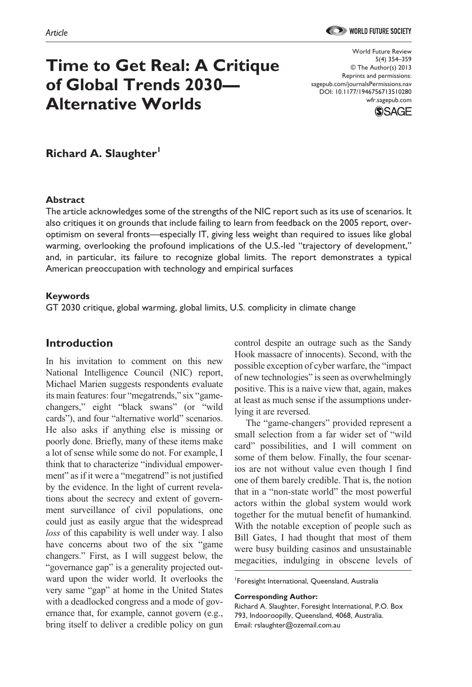

# **Time to Get Real: A Critique of Global Trends 2030— Alternative Worlds**

World Future Review 5(4) 354–359 © The Author(s) 2013 Reprints and permissions: sagepub.com/journalsPermissions.nav DOI: 10.1177/1946756713510280 wfr.sagepub.com



**Richard A. Slaughter'** 

### **Abstract**

The article acknowledges some of the strengths of the NIC report such as its use of scenarios. It also critiques it on grounds that include failing to learn from feedback on the 2005 report, overoptimism on several fronts—especially IT, giving less weight than required to issues like global warming, overlooking the profound implications of the U.S.-led "trajectory of development," and, in particular, its failure to recognize global limits. The report demonstrates a typical American preoccupation with technology and empirical surfaces

### **Keywords**

GT 2030 critique, global warming, global limits, U.S. complicity in climate change

## **Introduction**

In his invitation to comment on this new National Intelligence Council (NIC) report, Michael Marien suggests respondents evaluate its main features: four "megatrends," six "gamechangers," eight "black swans" (or "wild cards"), and four "alternative world" scenarios. He also asks if anything else is missing or poorly done. Briefly, many of these items make a lot of sense while some do not. For example, I think that to characterize "individual empowerment" as if it were a "megatrend" is not justified by the evidence. In the light of current revelations about the secrecy and extent of government surveillance of civil populations, one could just as easily argue that the widespread *loss* of this capability is well under way. I also have concerns about two of the six "game changers." First, as I will suggest below, the "governance gap" is a generality projected outward upon the wider world. It overlooks the very same "gap" at home in the United States with a deadlocked congress and a mode of governance that, for example, cannot govern (e.g., bring itself to deliver a credible policy on gun

control despite an outrage such as the Sandy Hook massacre of innocents). Second, with the possible exception of cyber warfare, the "impact of new technologies" is seen as overwhelmingly positive. This is a naive view that, again, makes at least as much sense if the assumptions underlying it are reversed.

The "game-changers" provided represent a small selection from a far wider set of "wild card" possibilities, and I will comment on some of them below. Finally, the four scenarios are not without value even though I find one of them barely credible. That is, the notion that in a "non-state world" the most powerful actors within the global system would work together for the mutual benefit of humankind. With the notable exception of people such as Bill Gates, I had thought that most of them were busy building casinos and unsustainable megacities, indulging in obscene levels of

1 Foresight International, Queensland, Australia

#### **Corresponding Author:**

Richard A. Slaughter, Foresight International, P.O. Box 793, Indooroopilly, Queensland, 4068, Australia. Email: rslaughter@ozemail.com.au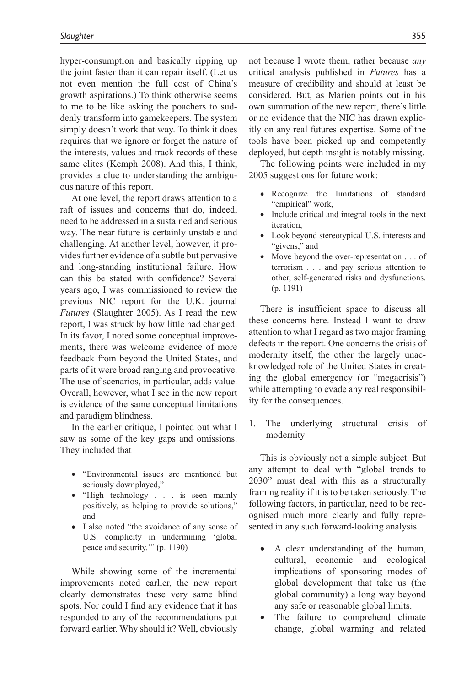hyper-consumption and basically ripping up the joint faster than it can repair itself. (Let us not even mention the full cost of China's growth aspirations.) To think otherwise seems to me to be like asking the poachers to suddenly transform into gamekeepers. The system simply doesn't work that way. To think it does requires that we ignore or forget the nature of the interests, values and track records of these same elites (Kemph 2008). And this, I think, provides a clue to understanding the ambiguous nature of this report.

At one level, the report draws attention to a raft of issues and concerns that do, indeed, need to be addressed in a sustained and serious way. The near future is certainly unstable and challenging. At another level, however, it provides further evidence of a subtle but pervasive and long-standing institutional failure. How can this be stated with confidence? Several years ago, I was commissioned to review the previous NIC report for the U.K. journal *Futures* (Slaughter 2005). As I read the new report, I was struck by how little had changed. In its favor, I noted some conceptual improvements, there was welcome evidence of more feedback from beyond the United States, and parts of it were broad ranging and provocative. The use of scenarios, in particular, adds value. Overall, however, what I see in the new report is evidence of the same conceptual limitations and paradigm blindness.

In the earlier critique, I pointed out what I saw as some of the key gaps and omissions. They included that

- "Environmental issues are mentioned but seriously downplayed,"
- "High technology . . . is seen mainly positively, as helping to provide solutions," and
- I also noted "the avoidance of any sense of U.S. complicity in undermining 'global peace and security.'" (p. 1190)

While showing some of the incremental improvements noted earlier, the new report clearly demonstrates these very same blind spots. Nor could I find any evidence that it has responded to any of the recommendations put forward earlier. Why should it? Well, obviously

not because I wrote them, rather because *any* critical analysis published in *Futures* has a measure of credibility and should at least be considered. But, as Marien points out in his own summation of the new report, there's little or no evidence that the NIC has drawn explicitly on any real futures expertise. Some of the tools have been picked up and competently deployed, but depth insight is notably missing.

The following points were included in my 2005 suggestions for future work:

- Recognize the limitations of standard "empirical" work,
- Include critical and integral tools in the next iteration,
- Look beyond stereotypical U.S. interests and "givens," and
- Move beyond the over-representation . . . of terrorism . . . and pay serious attention to other, self-generated risks and dysfunctions. (p. 1191)

There is insufficient space to discuss all these concerns here. Instead I want to draw attention to what I regard as two major framing defects in the report. One concerns the crisis of modernity itself, the other the largely unacknowledged role of the United States in creating the global emergency (or "megacrisis") while attempting to evade any real responsibility for the consequences.

1. The underlying structural crisis of modernity

This is obviously not a simple subject. But any attempt to deal with "global trends to 2030" must deal with this as a structurally framing reality if it is to be taken seriously. The following factors, in particular, need to be recognised much more clearly and fully represented in any such forward-looking analysis.

- A clear understanding of the human, cultural, economic and ecological implications of sponsoring modes of global development that take us (the global community) a long way beyond any safe or reasonable global limits.
- The failure to comprehend climate change, global warming and related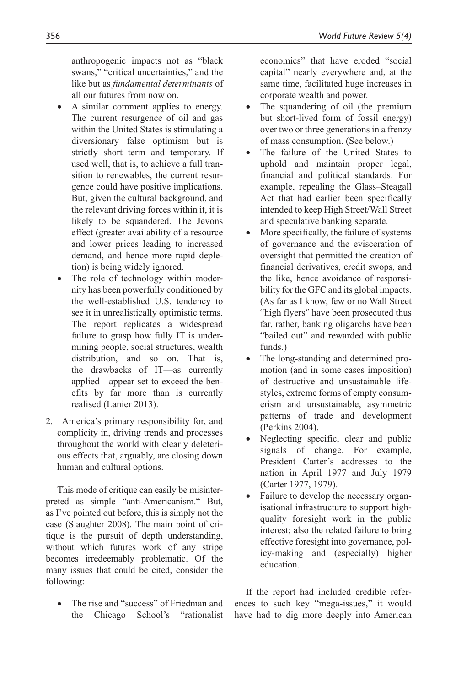anthropogenic impacts not as "black swans," "critical uncertainties," and the like but as *fundamental determinants* of all our futures from now on.

- A similar comment applies to energy. The current resurgence of oil and gas within the United States is stimulating a diversionary false optimism but is strictly short term and temporary. If used well, that is, to achieve a full transition to renewables, the current resurgence could have positive implications. But, given the cultural background, and the relevant driving forces within it, it is likely to be squandered. The Jevons effect (greater availability of a resource and lower prices leading to increased demand, and hence more rapid depletion) is being widely ignored.
- The role of technology within modernity has been powerfully conditioned by the well-established U.S. tendency to see it in unrealistically optimistic terms. The report replicates a widespread failure to grasp how fully IT is undermining people, social structures, wealth distribution, and so on. That is, the drawbacks of IT—as currently applied—appear set to exceed the benefits by far more than is currently realised (Lanier 2013).
- 2. America's primary responsibility for, and complicity in, driving trends and processes throughout the world with clearly deleterious effects that, arguably, are closing down human and cultural options.

This mode of critique can easily be misinterpreted as simple "anti-Americanism." But, as I've pointed out before, this is simply not the case (Slaughter 2008). The main point of critique is the pursuit of depth understanding, without which futures work of any stripe becomes irredeemably problematic. Of the many issues that could be cited, consider the following:

The rise and "success" of Friedman and the Chicago School's "rationalist

economics" that have eroded "social capital" nearly everywhere and, at the same time, facilitated huge increases in corporate wealth and power.

- The squandering of oil (the premium but short-lived form of fossil energy) over two or three generations in a frenzy of mass consumption. (See below.)
- The failure of the United States to uphold and maintain proper legal, financial and political standards. For example, repealing the Glass–Steagall Act that had earlier been specifically intended to keep High Street/Wall Street and speculative banking separate.
- More specifically, the failure of systems of governance and the evisceration of oversight that permitted the creation of financial derivatives, credit swops, and the like, hence avoidance of responsibility for the GFC and its global impacts. (As far as I know, few or no Wall Street "high flyers" have been prosecuted thus far, rather, banking oligarchs have been "bailed out" and rewarded with public funds.)
- The long-standing and determined promotion (and in some cases imposition) of destructive and unsustainable lifestyles, extreme forms of empty consumerism and unsustainable, asymmetric patterns of trade and development (Perkins 2004).
- Neglecting specific, clear and public signals of change. For example, President Carter's addresses to the nation in April 1977 and July 1979 (Carter 1977, 1979).
- Failure to develop the necessary organisational infrastructure to support highquality foresight work in the public interest; also the related failure to bring effective foresight into governance, policy-making and (especially) higher education.

If the report had included credible references to such key "mega-issues," it would have had to dig more deeply into American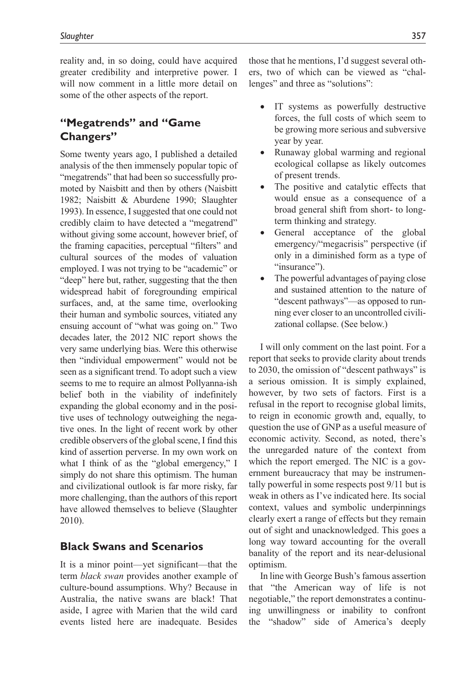reality and, in so doing, could have acquired greater credibility and interpretive power. I will now comment in a little more detail on some of the other aspects of the report.

# **"Megatrends" and "Game Changers"**

Some twenty years ago, I published a detailed analysis of the then immensely popular topic of "megatrends" that had been so successfully promoted by Naisbitt and then by others (Naisbitt 1982; Naisbitt & Aburdene 1990; Slaughter 1993). In essence, I suggested that one could not credibly claim to have detected a "megatrend" without giving some account, however brief, of the framing capacities, perceptual "filters" and cultural sources of the modes of valuation employed. I was not trying to be "academic" or "deep" here but, rather, suggesting that the then widespread habit of foregrounding empirical surfaces, and, at the same time, overlooking their human and symbolic sources, vitiated any ensuing account of "what was going on." Two decades later, the 2012 NIC report shows the very same underlying bias. Were this otherwise then "individual empowerment" would not be seen as a significant trend. To adopt such a view seems to me to require an almost Pollyanna-ish belief both in the viability of indefinitely expanding the global economy and in the positive uses of technology outweighing the negative ones. In the light of recent work by other credible observers of the global scene, I find this kind of assertion perverse. In my own work on what I think of as the "global emergency," I simply do not share this optimism. The human and civilizational outlook is far more risky, far more challenging, than the authors of this report have allowed themselves to believe (Slaughter 2010).

# **Black Swans and Scenarios**

It is a minor point—yet significant—that the term *black swan* provides another example of culture-bound assumptions. Why? Because in Australia, the native swans are black! That aside, I agree with Marien that the wild card events listed here are inadequate. Besides

those that he mentions, I'd suggest several others, two of which can be viewed as "challenges" and three as "solutions":

- IT systems as powerfully destructive forces, the full costs of which seem to be growing more serious and subversive year by year.
- Runaway global warming and regional ecological collapse as likely outcomes of present trends.
- The positive and catalytic effects that would ensue as a consequence of a broad general shift from short- to longterm thinking and strategy.
- General acceptance of the global emergency/"megacrisis" perspective (if only in a diminished form as a type of "insurance").
- The powerful advantages of paying close and sustained attention to the nature of "descent pathways"—as opposed to running ever closer to an uncontrolled civilizational collapse. (See below.)

I will only comment on the last point. For a report that seeks to provide clarity about trends to 2030, the omission of "descent pathways" is a serious omission. It is simply explained, however, by two sets of factors. First is a refusal in the report to recognise global limits, to reign in economic growth and, equally, to question the use of GNP as a useful measure of economic activity. Second, as noted, there's the unregarded nature of the context from which the report emerged. The NIC is a government bureaucracy that may be instrumentally powerful in some respects post 9/11 but is weak in others as I've indicated here. Its social context, values and symbolic underpinnings clearly exert a range of effects but they remain out of sight and unacknowledged. This goes a long way toward accounting for the overall banality of the report and its near-delusional optimism.

In line with George Bush's famous assertion that "the American way of life is not negotiable," the report demonstrates a continuing unwillingness or inability to confront the "shadow" side of America's deeply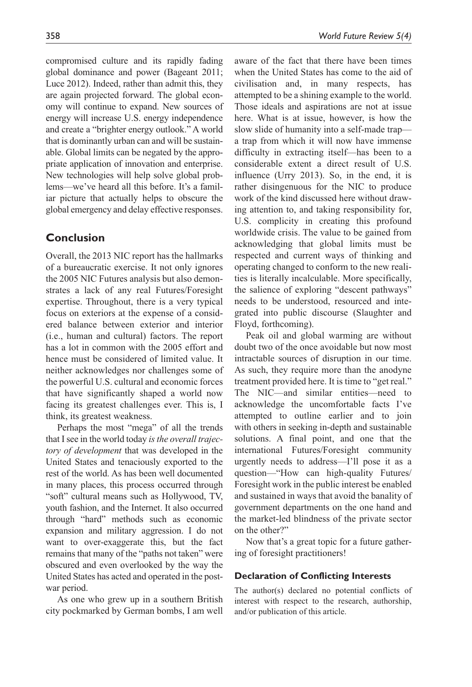compromised culture and its rapidly fading global dominance and power (Bageant 2011; Luce 2012). Indeed, rather than admit this, they are again projected forward. The global economy will continue to expand. New sources of energy will increase U.S. energy independence and create a "brighter energy outlook." A world that is dominantly urban can and will be sustainable. Global limits can be negated by the appropriate application of innovation and enterprise. New technologies will help solve global problems—we've heard all this before. It's a familiar picture that actually helps to obscure the global emergency and delay effective responses.

# **Conclusion**

Overall, the 2013 NIC report has the hallmarks of a bureaucratic exercise. It not only ignores the 2005 NIC Futures analysis but also demonstrates a lack of any real Futures/Foresight expertise. Throughout, there is a very typical focus on exteriors at the expense of a considered balance between exterior and interior (i.e., human and cultural) factors. The report has a lot in common with the 2005 effort and hence must be considered of limited value. It neither acknowledges nor challenges some of the powerful U.S. cultural and economic forces that have significantly shaped a world now facing its greatest challenges ever. This is, I think, its greatest weakness.

Perhaps the most "mega" of all the trends that I see in the world today *is the overall trajectory of development* that was developed in the United States and tenaciously exported to the rest of the world. As has been well documented in many places, this process occurred through "soft" cultural means such as Hollywood, TV, youth fashion, and the Internet. It also occurred through "hard" methods such as economic expansion and military aggression. I do not want to over-exaggerate this, but the fact remains that many of the "paths not taken" were obscured and even overlooked by the way the United States has acted and operated in the postwar period.

As one who grew up in a southern British city pockmarked by German bombs, I am well aware of the fact that there have been times when the United States has come to the aid of civilisation and, in many respects, has attempted to be a shining example to the world. Those ideals and aspirations are not at issue here. What is at issue, however, is how the slow slide of humanity into a self-made trap a trap from which it will now have immense difficulty in extracting itself—has been to a considerable extent a direct result of U.S. influence (Urry 2013). So, in the end, it is rather disingenuous for the NIC to produce work of the kind discussed here without drawing attention to, and taking responsibility for, U.S. complicity in creating this profound worldwide crisis. The value to be gained from acknowledging that global limits must be respected and current ways of thinking and operating changed to conform to the new realities is literally incalculable. More specifically, the salience of exploring "descent pathways" needs to be understood, resourced and integrated into public discourse (Slaughter and Floyd, forthcoming).

Peak oil and global warming are without doubt two of the once avoidable but now most intractable sources of disruption in our time. As such, they require more than the anodyne treatment provided here. It is time to "get real." The NIC—and similar entities—need to acknowledge the uncomfortable facts I've attempted to outline earlier and to join with others in seeking in-depth and sustainable solutions. A final point, and one that the international Futures/Foresight community urgently needs to address—I'll pose it as a question—"How can high-quality Futures/ Foresight work in the public interest be enabled and sustained in ways that avoid the banality of government departments on the one hand and the market-led blindness of the private sector on the other?"

Now that's a great topic for a future gathering of foresight practitioners!

### **Declaration of Conflicting Interests**

The author(s) declared no potential conflicts of interest with respect to the research, authorship, and/or publication of this article.